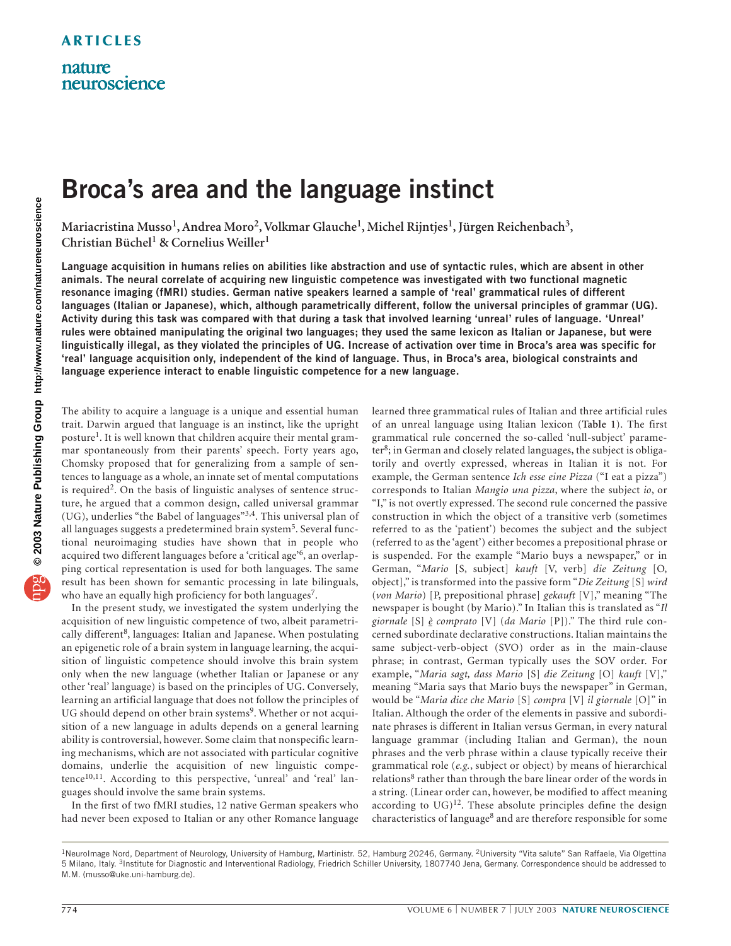# **Broca's area and the language instinct**

**Mariacristina Musso1, Andrea Moro2, Volkmar Glauche1, Michel Rijntjes1,Jürgen Reichenbach3, Christian Büchel<sup>1</sup> & Cornelius Weiller<sup>1</sup>**

**Language acquisition in humans relies on abilities like abstraction and use of syntactic rules, which are absent in other animals. The neural correlate of acquiring new linguistic competence was investigated with two functional magnetic resonance imaging (fMRI) studies. German native speakers learned a sample of 'real' grammatical rules of different languages (Italian or Japanese), which, although parametrically different, follow the universal principles of grammar (UG). Activity during this task was compared with that during a task that involved learning 'unreal' rules of language. 'Unreal' rules were obtained manipulating the original two languages; they used the same lexicon as Italian or Japanese, but were linguistically illegal, as they violated the principles of UG. Increase of activation over time in Broca's area was specific for 'real' language acquisition only, independent of the kind of language. Thus, in Broca's area, biological constraints and language experience interact to enable linguistic competence for a new language.**

The ability to acquire a language is a unique and essential human trait. Darwin argued that language is an instinct, like the upright posture1. It is well known that children acquire their mental grammar spontaneously from their parents' speech. Forty years ago, Chomsky proposed that for generalizing from a sample of sentences to language as a whole, an innate set of mental computations is required<sup>2</sup>. On the basis of linguistic analyses of sentence structure, he argued that a common design, called universal grammar (UG), underlies "the Babel of languages"3,4. This universal plan of all languages suggests a predetermined brain system<sup>5</sup>. Several functional neuroimaging studies have shown that in people who acquired two different languages before a 'critical age'6, an overlapping cortical representation is used for both languages. The same result has been shown for semantic processing in late bilinguals, who have an equally high proficiency for both languages<sup>7</sup>.

In the present study, we investigated the system underlying the acquisition of new linguistic competence of two, albeit parametrically different<sup>8</sup>, languages: Italian and Japanese. When postulating an epigenetic role of a brain system in language learning, the acquisition of linguistic competence should involve this brain system only when the new language (whether Italian or Japanese or any other 'real' language) is based on the principles of UG. Conversely, learning an artificial language that does not follow the principles of UG should depend on other brain systems<sup>9</sup>. Whether or not acquisition of a new language in adults depends on a general learning ability is controversial, however. Some claim that nonspecific learning mechanisms, which are not associated with particular cognitive domains, underlie the acquisition of new linguistic competence10,11. According to this perspective, 'unreal' and 'real' languages should involve the same brain systems.

In the first of two fMRI studies, 12 native German speakers who had never been exposed to Italian or any other Romance language learned three grammatical rules of Italian and three artificial rules of an unreal language using Italian lexicon (**Table 1**). The first grammatical rule concerned the so-called 'null-subject' parameter8; in German and closely related languages, the subject is obligatorily and overtly expressed, whereas in Italian it is not. For example, the German sentence *Ich esse eine Pizza* ("I eat a pizza") corresponds to Italian *Mangio una pizza*, where the subject *io*, or "I," is not overtly expressed. The second rule concerned the passive construction in which the object of a transitive verb (sometimes referred to as the 'patient') becomes the subject and the subject (referred to as the 'agent') either becomes a prepositional phrase or is suspended. For the example "Mario buys a newspaper," or in German, "*Mario* [S, subject] *kauft* [V, verb] *die Zeitung* [O, object]," is transformed into the passive form "*Die Zeitung* [S] *wird* (*von Mario*) [P, prepositional phrase] *gekauft* [V]," meaning "The newspaper is bought (by Mario)." In Italian this is translated as "*Il giornale* [S] *è comprato* [V] (*da Mario* [P])." The third rule concerned subordinate declarative constructions. Italian maintains the same subject-verb-object (SVO) order as in the main-clause phrase; in contrast, German typically uses the SOV order. For example, "*Maria sagt, dass Mario* [S] *die Zeitung* [O] *kauft* [V]," meaning "Maria says that Mario buys the newspaper" in German, would be "*Maria dice che Mario* [S] *compra* [V] *il giornale* [O]" in Italian. Although the order of the elements in passive and subordinate phrases is different in Italian versus German, in every natural language grammar (including Italian and German), the noun phrases and the verb phrase within a clause typically receive their grammatical role (*e.g.*, subject or object) by means of hierarchical relations<sup>8</sup> rather than through the bare linear order of the words in a string. (Linear order can, however, be modified to affect meaning according to  $UG)^{12}$ . These absolute principles define the design characteristics of language<sup>8</sup> and are therefore responsible for some

<sup>&</sup>lt;sup>1</sup>NeuroImage Nord, Department of Neurology, University of Hamburg, Martinistr. 52, Hamburg 20246, Germany. <sup>2</sup>University "Vita salute" San Raffaele, Via Olgettina 5 Milano, Italy. <sup>3</sup>Institute for Diagnostic and Interventional Radiology, Friedrich Schiller University, 1807740 Jena, Germany. Correspondence should be addressed to M.M. (musso@uke.uni-hamburg.de).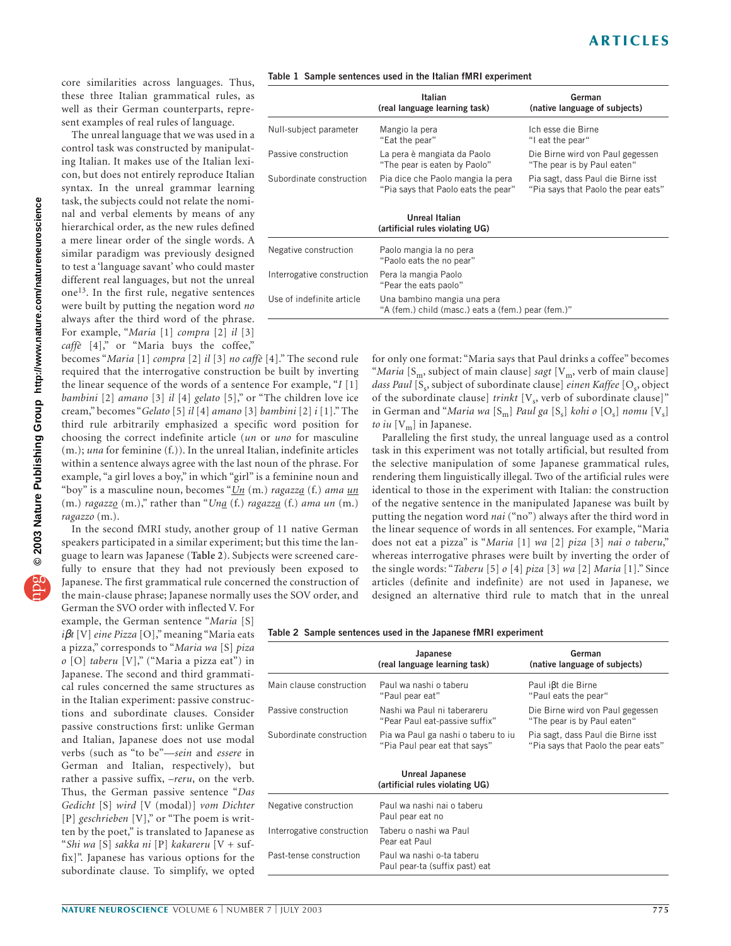core similarities across languages. Thus, these three Italian grammatical rules, as well as their German counterparts, represent examples of real rules of language.

The unreal language that we was used in a control task was constructed by manipulating Italian. It makes use of the Italian lexicon, but does not entirely reproduce Italian syntax. In the unreal grammar learning task, the subjects could not relate the nominal and verbal elements by means of any hierarchical order, as the new rules defined a mere linear order of the single words. A similar paradigm was previously designed to test a 'language savant' who could master different real languages, but not the unreal one13. In the first rule, negative sentences were built by putting the negation word *no* always after the third word of the phrase. For example, "*Maria* [1] *compra* [2] *il* [3] *caffè* [4]," or "Maria buys the coffee,"

becomes "*Maria* [1] *compra* [2] *il* [3] *no caffè* [4]." The second rule required that the interrogative construction be built by inverting the linear sequence of the words of a sentence For example, "*I* [1] *bambini* [2] *amano* [3] *il* [4] *gelato* [5]," or "The children love ice cream," becomes "*Gelato* [5] *il* [4] *amano* [3] *bambini* [2] *i* [1]." The third rule arbitrarily emphasized a specific word position for choosing the correct indefinite article (*un* or *uno* for masculine (m.); *una* for feminine (f.)). In the unreal Italian, indefinite articles within a sentence always agree with the last noun of the phrase. For example, "a girl loves a boy," in which "girl" is a feminine noun and "boy" is a masculine noun, becomes "*Un* (m.) *ragazza* (f.) *ama un* (m.) *ragazzo* (m.)," rather than "*Una* (f.) *ragazza* (f.) *ama un* (m.) *ragazzo* (m.).

In the second fMRI study, another group of 11 native German speakers participated in a similar experiment; but this time the language to learn was Japanese (**Table 2**). Subjects were screened carefully to ensure that they had not previously been exposed to Japanese. The first grammatical rule concerned the construction of the main-clause phrase; Japanese normally uses the SOV order, and

German the SVO order with inflected V. For example, the German sentence "*Maria* [S] *i*β*t* [V] *eine Pizza* [O]," meaning "Maria eats a pizza," corresponds to "*Maria wa* [S] *piza o* [O] *taberu* [V]," ("Maria a pizza eat") in Japanese. The second and third grammatical rules concerned the same structures as in the Italian experiment: passive constructions and subordinate clauses. Consider passive constructions first: unlike German and Italian, Japanese does not use modal verbs (such as "to be"—*sein* and *essere* in German and Italian, respectively), but rather a passive suffix, –*reru*, on the verb. Thus, the German passive sentence "*Das Gedicht* [S] *wird* [V (modal)] *vom Dichter* [P] *geschrieben* [V]," or "The poem is written by the poet," is translated to Japanese as "*Shi wa* [S] *sakka ni* [P] *kakareru* [V + suffix]". Japanese has various options for the subordinate clause. To simplify, we opted

**Table 1 Sample sentences used in the Italian fMRI experiment**

|                            | <b>Italian</b><br>(real language learning task)                                   | German<br>(native language of subjects)                                   |  |  |
|----------------------------|-----------------------------------------------------------------------------------|---------------------------------------------------------------------------|--|--|
| Null-subject parameter     | Mangio la pera<br>"Eat the pear"                                                  | Ich esse die Birne<br>"I eat the pear"                                    |  |  |
| Passive construction       | La pera è mangiata da Paolo<br>"The pear is eaten by Paolo"                       | Die Birne wird von Paul gegessen<br>"The pear is by Paul eaten"           |  |  |
| Subordinate construction   | Pia dice che Paolo mangia la pera<br>"Pia says that Paolo eats the pear"          | Pia sagt, dass Paul die Birne isst<br>"Pia says that Paolo the pear eats" |  |  |
|                            | Unreal Italian<br>(artificial rules violating UG)                                 |                                                                           |  |  |
| Negative construction      | Paolo mangia la no pera<br>"Paolo eats the no pear"                               |                                                                           |  |  |
| Interrogative construction | Pera la mangia Paolo<br>"Pear the eats paolo"                                     |                                                                           |  |  |
| Use of indefinite article  | Una bambino mangia una pera<br>"A (fem.) child (masc.) eats a (fem.) pear (fem.)" |                                                                           |  |  |
|                            |                                                                                   |                                                                           |  |  |

for only one format: "Maria says that Paul drinks a coffee" becomes "*Maria*  $[S_m,$  subject of main clause] *sagt*  $[V_m,$  verb of main clause] *dass Paul* [S<sub>s</sub>, subject of subordinate clause] *einen Kaffee* [O<sub>s</sub>, object of the subordinate clause]  $trinkt$  [V<sub>s</sub>, verb of subordinate clause]" in German and "*Maria wa* [S<sub>m</sub>] *Paul ga* [S<sub>s</sub>] *kohi o* [O<sub>s</sub>] *nomu* [V<sub>s</sub>] *to iu*  $[V_m]$  in Japanese.

Paralleling the first study, the unreal language used as a control task in this experiment was not totally artificial, but resulted from the selective manipulation of some Japanese grammatical rules, rendering them linguistically illegal. Two of the artificial rules were identical to those in the experiment with Italian: the construction of the negative sentence in the manipulated Japanese was built by putting the negation word *nai* ("no") always after the third word in the linear sequence of words in all sentences. For example, "Maria does not eat a pizza" is "*Maria* [1] *wa* [2] *piza* [3] *nai o taberu*," whereas interrogative phrases were built by inverting the order of the single words: "*Taberu* [5] *o* [4] *piza* [3] *wa* [2] *Maria* [1]." Since articles (definite and indefinite) are not used in Japanese, we designed an alternative third rule to match that in the unreal

|  |  |  | Table 2 Sample sentences used in the Japanese fMRI experiment |
|--|--|--|---------------------------------------------------------------|
|  |  |  |                                                               |

|                            | Japanese<br>(real language learning task)                            | German<br>(native language of subjects)                                   |  |  |
|----------------------------|----------------------------------------------------------------------|---------------------------------------------------------------------------|--|--|
| Main clause construction   | Paul wa nashi o taberu<br>"Paul pear eat"                            | Paul i $\beta t$ die Birne<br>"Paul eats the pear"                        |  |  |
| Passive construction       | Nashi wa Paul ni taberareru<br>"Pear Paul eat-passive suffix"        | Die Birne wird von Paul gegessen<br>"The pear is by Paul eaten"           |  |  |
| Subordinate construction   | Pia wa Paul ga nashi o taberu to iu<br>"Pia Paul pear eat that says" | Pia sagt, dass Paul die Birne isst<br>"Pia says that Paolo the pear eats" |  |  |
|                            | <b>Unreal Japanese</b><br>(artificial rules violating UG)            |                                                                           |  |  |
| Negative construction      | Paul wa nashi nai o taberu<br>Paul pear eat no                       |                                                                           |  |  |
| Interrogative construction | Taberu o nashi wa Paul<br>Pear eat Paul                              |                                                                           |  |  |
| Past-tense construction    | Paul wa nashi o-ta taberu<br>Paul pear-ta (suffix past) eat          |                                                                           |  |  |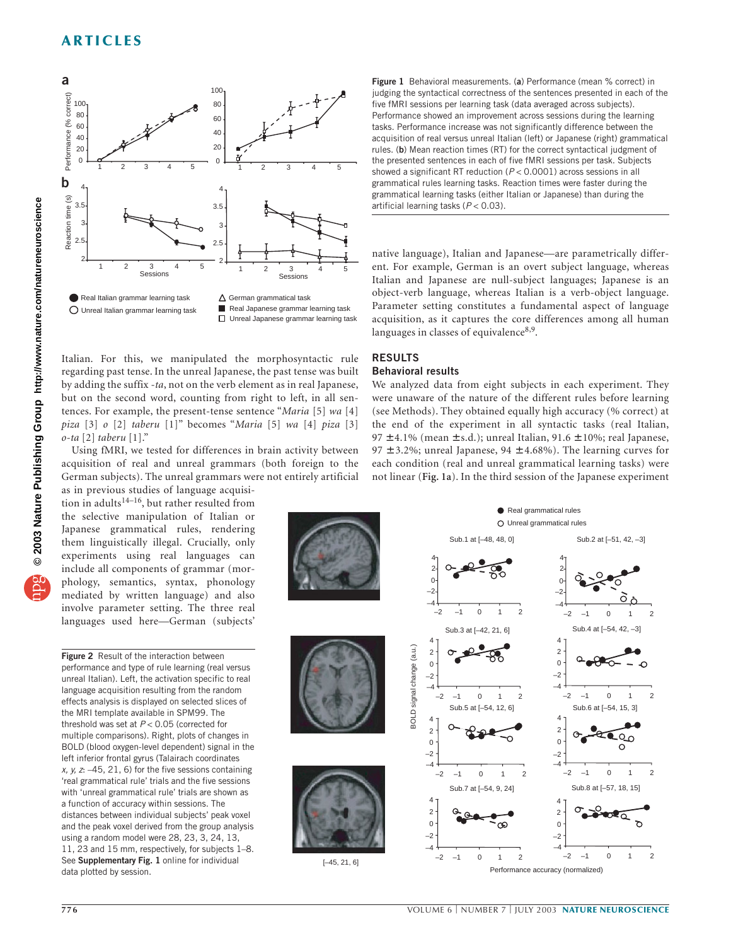

Italian. For this, we manipulated the morphosyntactic rule regarding past tense. In the unreal Japanese, the past tense was built by adding the suffix -*ta*, not on the verb element as in real Japanese, but on the second word, counting from right to left, in all sentences. For example, the present-tense sentence "*Maria* [5] *wa* [4] *piza* [3] *o* [2] *taberu* [1]" becomes "*Maria* [5] *wa* [4] *piza* [3] *o-ta* [2] *taberu* [1]."

Using fMRI, we tested for differences in brain activity between acquisition of real and unreal grammars (both foreign to the German subjects). The unreal grammars were not entirely artificial

as in previous studies of language acquisition in adults<sup>14–16</sup>, but rather resulted from the selective manipulation of Italian or Japanese grammatical rules, rendering them linguistically illegal. Crucially, only experiments using real languages can include all components of grammar (morphology, semantics, syntax, phonology mediated by written language) and also involve parameter setting. The three real languages used here—German (subjects'

**Figure 2** Result of the interaction between performance and type of rule learning (real versus unreal Italian). Left, the activation specific to real language acquisition resulting from the random effects analysis is displayed on selected slices of the MRI template available in SPM99. The threshold was set at *P* < 0.05 (corrected for multiple comparisons). Right, plots of changes in BOLD (blood oxygen-level dependent) signal in the left inferior frontal gyrus (Talairach coordinates *x, y, z*: –45, 21, 6) for the five sessions containing 'real grammatical rule' trials and the five sessions with 'unreal grammatical rule' trials are shown as a function of accuracy within sessions. The distances between individual subjects' peak voxel and the peak voxel derived from the group analysis using a random model were 28, 23, 3, 24, 13, 11, 23 and 15 mm, respectively, for subjects 1–8. See **Supplementary Fig. 1** online for individual data plotted by session.

**Figure 1** Behavioral measurements. (**a**) Performance (mean % correct) in judging the syntactical correctness of the sentences presented in each of the five fMRI sessions per learning task (data averaged across subjects). Performance showed an improvement across sessions during the learning tasks. Performance increase was not significantly difference between the acquisition of real versus unreal Italian (left) or Japanese (right) grammatical rules. (**b**) Mean reaction times (RT) for the correct syntactical judgment of the presented sentences in each of five fMRI sessions per task. Subjects showed a significant RT reduction (*P* < 0.0001) across sessions in all grammatical rules learning tasks. Reaction times were faster during the grammatical learning tasks (either Italian or Japanese) than during the artificial learning tasks (*P* < 0.03).

native language), Italian and Japanese—are parametrically different. For example, German is an overt subject language, whereas Italian and Japanese are null-subject languages; Japanese is an object-verb language, whereas Italian is a verb-object language. Parameter setting constitutes a fundamental aspect of language acquisition, as it captures the core differences among all human languages in classes of equivalence $8,9$ .

## **RESULTS**

### **Behavioral results**

We analyzed data from eight subjects in each experiment. They were unaware of the nature of the different rules before learning (see Methods). They obtained equally high accuracy (% correct) at the end of the experiment in all syntactic tasks (real Italian,  $97 \pm 4.1\%$  (mean  $\pm$  s.d.); unreal Italian,  $91.6 \pm 10\%$ ; real Japanese, 97  $\pm$  3.2%; unreal Japanese, 94  $\pm$  4.68%). The learning curves for each condition (real and unreal grammatical learning tasks) were not linear (**Fig. 1a**). In the third session of the Japanese experiment

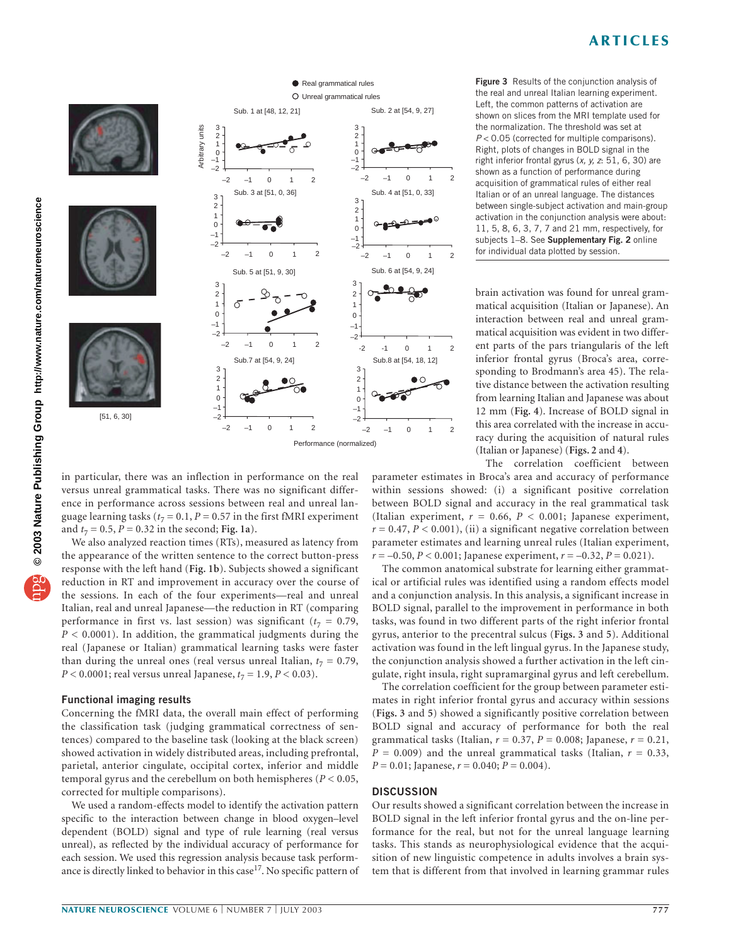

**Figure 3** Results of the conjunction analysis of the real and unreal Italian learning experiment. Left, the common patterns of activation are shown on slices from the MRI template used for the normalization. The threshold was set at *P* < 0.05 (corrected for multiple comparisons). Right, plots of changes in BOLD signal in the right inferior frontal gyrus (*x, y, z*: 51, 6, 30) are shown as a function of performance during acquisition of grammatical rules of either real Italian or of an unreal language. The distances between single-subject activation and main-group activation in the conjunction analysis were about: 11, 5, 8, 6, 3, 7, 7 and 21 mm, respectively, for subjects 1–8. See **Supplementary Fig. 2** online for individual data plotted by session.

brain activation was found for unreal grammatical acquisition (Italian or Japanese). An interaction between real and unreal grammatical acquisition was evident in two different parts of the pars triangularis of the left inferior frontal gyrus (Broca's area, corresponding to Brodmann's area 45). The relative distance between the activation resulting from learning Italian and Japanese was about 12 mm (**Fig. 4**). Increase of BOLD signal in this area correlated with the increase in accuracy during the acquisition of natural rules (Italian or Japanese) (**Figs. 2** and **4**).

The correlation coefficient between

in particular, there was an inflection in performance on the real versus unreal grammatical tasks. There was no significant difference in performance across sessions between real and unreal language learning tasks  $(t_7 = 0.1, P = 0.57$  in the first fMRI experiment and  $t_7 = 0.5$ ,  $P = 0.32$  in the second; Fig. 1a).

We also analyzed reaction times (RTs), measured as latency from the appearance of the written sentence to the correct button-press response with the left hand (**Fig. 1b**). Subjects showed a significant reduction in RT and improvement in accuracy over the course of the sessions. In each of the four experiments—real and unreal Italian, real and unreal Japanese—the reduction in RT (comparing performance in first vs. last session) was significant ( $t_7 = 0.79$ , *P* < 0.0001). In addition, the grammatical judgments during the real (Japanese or Italian) grammatical learning tasks were faster than during the unreal ones (real versus unreal Italian,  $t_7 = 0.79$ , *P* < 0.0001; real versus unreal Japanese,  $t_7 = 1.9$ , *P* < 0.03).

#### **Functional imaging results**

Concerning the fMRI data, the overall main effect of performing the classification task (judging grammatical correctness of sentences) compared to the baseline task (looking at the black screen) showed activation in widely distributed areas, including prefrontal, parietal, anterior cingulate, occipital cortex, inferior and middle temporal gyrus and the cerebellum on both hemispheres (*P* < 0.05, corrected for multiple comparisons).

We used a random-effects model to identify the activation pattern specific to the interaction between change in blood oxygen–level dependent (BOLD) signal and type of rule learning (real versus unreal), as reflected by the individual accuracy of performance for each session. We used this regression analysis because task performance is directly linked to behavior in this case<sup>17</sup>. No specific pattern of parameter estimates in Broca's area and accuracy of performance within sessions showed: (i) a significant positive correlation between BOLD signal and accuracy in the real grammatical task (Italian experiment,  $r = 0.66$ ,  $P < 0.001$ ; Japanese experiment,  $r = 0.47, P < 0.001$ , (ii) a significant negative correlation between parameter estimates and learning unreal rules (Italian experiment,  $r = -0.50$ ,  $P < 0.001$ ; Japanese experiment,  $r = -0.32$ ,  $P = 0.021$ ).

The common anatomical substrate for learning either grammatical or artificial rules was identified using a random effects model and a conjunction analysis. In this analysis, a significant increase in BOLD signal, parallel to the improvement in performance in both tasks, was found in two different parts of the right inferior frontal gyrus, anterior to the precentral sulcus (**Figs. 3** and **5**). Additional activation was found in the left lingual gyrus. In the Japanese study, the conjunction analysis showed a further activation in the left cingulate, right insula, right supramarginal gyrus and left cerebellum.

The correlation coefficient for the group between parameter estimates in right inferior frontal gyrus and accuracy within sessions (**Figs. 3** and **5**) showed a significantly positive correlation between BOLD signal and accuracy of performance for both the real grammatical tasks (Italian,  $r = 0.37$ ,  $P = 0.008$ ; Japanese,  $r = 0.21$ ,  $P = 0.009$ ) and the unreal grammatical tasks (Italian,  $r = 0.33$ ,  $P = 0.01$ ; Japanese,  $r = 0.040$ ;  $P = 0.004$ ).

#### **DISCUSSION**

Our results showed a significant correlation between the increase in BOLD signal in the left inferior frontal gyrus and the on-line performance for the real, but not for the unreal language learning tasks. This stands as neurophysiological evidence that the acquisition of new linguistic competence in adults involves a brain system that is different from that involved in learning grammar rules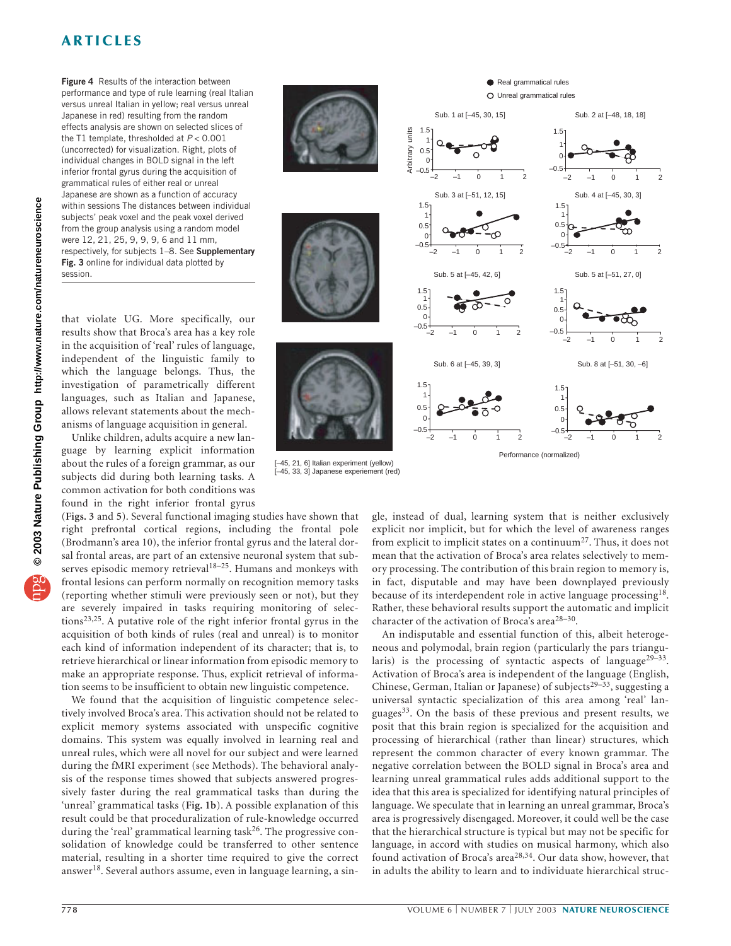**Figure 4** Results of the interaction between performance and type of rule learning (real Italian versus unreal Italian in yellow; real versus unreal Japanese in red) resulting from the random effects analysis are shown on selected slices of the T1 template, thresholded at *P* < 0.001 (uncorrected) for visualization. Right, plots of individual changes in BOLD signal in the left inferior frontal gyrus during the acquisition of grammatical rules of either real or unreal Japanese are shown as a function of accuracy within sessions The distances between individual subjects' peak voxel and the peak voxel derived from the group analysis using a random model were 12, 21, 25, 9, 9, 9, 6 and 11 mm, respectively, for subjects 1–8. See **Supplementary Fig. 3** online for individual data plotted by session.

that violate UG. More specifically, our results show that Broca's area has a key role in the acquisition of 'real' rules of language, independent of the linguistic family to which the language belongs. Thus, the investigation of parametrically different languages, such as Italian and Japanese, allows relevant statements about the mechanisms of language acquisition in general.

Unlike children, adults acquire a new language by learning explicit information about the rules of a foreign grammar, as our subjects did during both learning tasks. A common activation for both conditions was found in the right inferior frontal gyrus

(**Figs. 3** and **5**). Several functional imaging studies have shown that right prefrontal cortical regions, including the frontal pole (Brodmann's area 10), the inferior frontal gyrus and the lateral dorsal frontal areas, are part of an extensive neuronal system that subserves episodic memory retrieval<sup>18-25</sup>. Humans and monkeys with frontal lesions can perform normally on recognition memory tasks (reporting whether stimuli were previously seen or not), but they are severely impaired in tasks requiring monitoring of selections<sup>23,25</sup>. A putative role of the right inferior frontal gyrus in the acquisition of both kinds of rules (real and unreal) is to monitor each kind of information independent of its character; that is, to retrieve hierarchical or linear information from episodic memory to make an appropriate response. Thus, explicit retrieval of information seems to be insufficient to obtain new linguistic competence.

We found that the acquisition of linguistic competence selectively involved Broca's area. This activation should not be related to explicit memory systems associated with unspecific cognitive domains. This system was equally involved in learning real and unreal rules, which were all novel for our subject and were learned during the fMRI experiment (see Methods). The behavioral analysis of the response times showed that subjects answered progressively faster during the real grammatical tasks than during the 'unreal' grammatical tasks (**Fig. 1b**). A possible explanation of this result could be that proceduralization of rule-knowledge occurred during the 'real' grammatical learning task<sup>26</sup>. The progressive consolidation of knowledge could be transferred to other sentence material, resulting in a shorter time required to give the correct answer18. Several authors assume, even in language learning, a sin-



[–45, 21, 6] Italian experiment (yellow) [–45, 33, 3] Japanese experiement (red)

gle, instead of dual, learning system that is neither exclusively explicit nor implicit, but for which the level of awareness ranges from explicit to implicit states on a continuum<sup>27</sup>. Thus, it does not mean that the activation of Broca's area relates selectively to memory processing. The contribution of this brain region to memory is, in fact, disputable and may have been downplayed previously because of its interdependent role in active language processing<sup>18</sup>. Rather, these behavioral results support the automatic and implicit character of the activation of Broca's area<sup>28-30</sup>.

An indisputable and essential function of this, albeit heterogeneous and polymodal, brain region (particularly the pars triangularis) is the processing of syntactic aspects of language<sup>29–33</sup>. Activation of Broca's area is independent of the language (English, Chinese, German, Italian or Japanese) of subjects<sup>29–33</sup>, suggesting a universal syntactic specialization of this area among 'real' languages<sup>33</sup>. On the basis of these previous and present results, we posit that this brain region is specialized for the acquisition and processing of hierarchical (rather than linear) structures, which represent the common character of every known grammar. The negative correlation between the BOLD signal in Broca's area and learning unreal grammatical rules adds additional support to the idea that this area is specialized for identifying natural principles of language. We speculate that in learning an unreal grammar, Broca's area is progressively disengaged. Moreover, it could well be the case that the hierarchical structure is typical but may not be specific for language, in accord with studies on musical harmony, which also found activation of Broca's area<sup>28,34</sup>. Our data show, however, that in adults the ability to learn and to individuate hierarchical struc-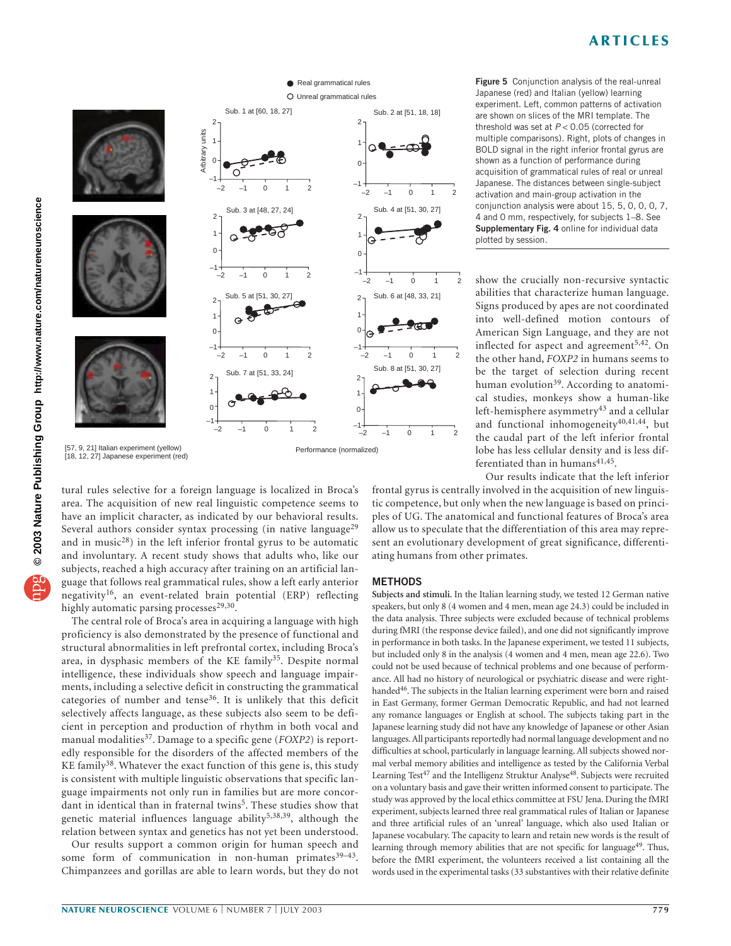

[57, 9, 21] Italian experiment (yellow) [18, 12, 27] Japanese experiment (red)

tural rules selective for a foreign language is localized in Broca's area. The acquisition of new real linguistic competence seems to have an implicit character, as indicated by our behavioral results. Several authors consider syntax processing (in native language<sup>29</sup> and in music<sup>28</sup>) in the left inferior frontal gyrus to be automatic and involuntary. A recent study shows that adults who, like our subjects, reached a high accuracy after training on an artificial language that follows real grammatical rules, show a left early anterior negativity16, an event-related brain potential (ERP) reflecting highly automatic parsing processes<sup>29,30</sup>.

The central role of Broca's area in acquiring a language with high proficiency is also demonstrated by the presence of functional and structural abnormalities in left prefrontal cortex, including Broca's area, in dysphasic members of the KE family<sup>35</sup>. Despite normal intelligence, these individuals show speech and language impairments, including a selective deficit in constructing the grammatical categories of number and tense<sup>36</sup>. It is unlikely that this deficit selectively affects language, as these subjects also seem to be deficient in perception and production of rhythm in both vocal and manual modalities<sup>37</sup>. Damage to a specific gene (*FOXP2*) is reportedly responsible for the disorders of the affected members of the KE family<sup>38</sup>. Whatever the exact function of this gene is, this study is consistent with multiple linguistic observations that specific language impairments not only run in families but are more concordant in identical than in fraternal twins<sup>5</sup>. These studies show that genetic material influences language ability<sup>5,38,39</sup>, although the relation between syntax and genetics has not yet been understood.

Our results support a common origin for human speech and some form of communication in non-human primates $39-43$ .

**Figure 5** Conjunction analysis of the real-unreal Japanese (red) and Italian (yellow) learning experiment. Left, common patterns of activation are shown on slices of the MRI template. The threshold was set at *P* < 0.05 (corrected for multiple comparisons). Right, plots of changes in BOLD signal in the right inferior frontal gyrus are shown as a function of performance during acquisition of grammatical rules of real or unreal Japanese. The distances between single-subject activation and main-group activation in the conjunction analysis were about 15, 5, 0, 0, 0, 7, 4 and 0 mm, respectively, for subjects 1–8. See **Supplementary Fig. 4** online for individual data plotted by session.

show the crucially non-recursive syntactic abilities that characterize human language. Signs produced by apes are not coordinated into well-defined motion contours of American Sign Language, and they are not inflected for aspect and agreement<sup>5,42</sup>. On the other hand, *FOXP2* in humans seems to be the target of selection during recent human evolution<sup>39</sup>. According to anatomical studies, monkeys show a human-like left-hemisphere asymmetry<sup>43</sup> and a cellular and functional inhomogeneity<sup>40,41,44</sup>, but the caudal part of the left inferior frontal lobe has less cellular density and is less differentiated than in humans $41,45$ .

Our results indicate that the left inferior

frontal gyrus is centrally involved in the acquisition of new linguistic competence, but only when the new language is based on principles of UG. The anatomical and functional features of Broca's area allow us to speculate that the differentiation of this area may represent an evolutionary development of great significance, differentiating humans from other primates.

#### **METHODS**

**Subjects and stimuli.** In the Italian learning study, we tested 12 German native speakers, but only 8 (4 women and 4 men, mean age 24.3) could be included in the data analysis. Three subjects were excluded because of technical problems during fMRI (the response device failed), and one did not significantly improve in performance in both tasks. In the Japanese experiment, we tested 11 subjects, but included only 8 in the analysis (4 women and 4 men, mean age 22.6). Two could not be used because of technical problems and one because of performance. All had no history of neurological or psychiatric disease and were righthanded<sup>46</sup>. The subjects in the Italian learning experiment were born and raised in East Germany, former German Democratic Republic, and had not learned any romance languages or English at school. The subjects taking part in the Japanese learning study did not have any knowledge of Japanese or other Asian languages. All participants reportedly had normal language development and no difficulties at school, particularly in language learning. All subjects showed normal verbal memory abilities and intelligence as tested by the California Verbal Learning Test<sup>47</sup> and the Intelligenz Struktur Analyse<sup>48</sup>. Subjects were recruited on a voluntary basis and gave their written informed consent to participate. The study was approved by the local ethics committee at FSU Jena. During the fMRI experiment, subjects learned three real grammatical rules of Italian or Japanese and three artificial rules of an 'unreal' language, which also used Italian or Japanese vocabulary. The capacity to learn and retain new words is the result of learning through memory abilities that are not specific for language<sup>49</sup>. Thus, before the fMRI experiment, the volunteers received a list containing all the words used in the experimental tasks (33 substantives with their relative definite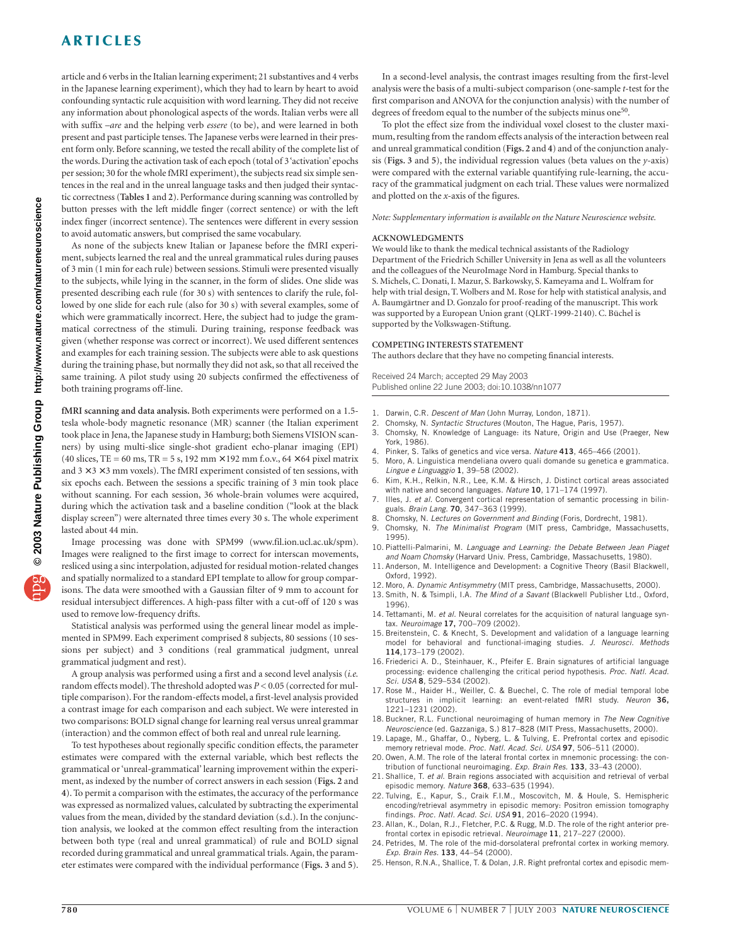article and 6 verbs in the Italian learning experiment; 21 substantives and 4 verbs in the Japanese learning experiment), which they had to learn by heart to avoid confounding syntactic rule acquisition with word learning. They did not receive any information about phonological aspects of the words. Italian verbs were all with suffix *–are* and the helping verb *essere* (to be), and were learned in both present and past participle tenses. The Japanese verbs were learned in their present form only. Before scanning, we tested the recall ability of the complete list of the words. During the activation task of each epoch (total of 3 'activation' epochs per session; 30 for the whole fMRI experiment), the subjects read six simple sentences in the real and in the unreal language tasks and then judged their syntactic correctness (**Tables 1** and **2**). Performance during scanning was controlled by button presses with the left middle finger (correct sentence) or with the left index finger (incorrect sentence). The sentences were different in every session to avoid automatic answers, but comprised the same vocabulary.

As none of the subjects knew Italian or Japanese before the fMRI experiment, subjects learned the real and the unreal grammatical rules during pauses of 3 min (1 min for each rule) between sessions. Stimuli were presented visually to the subjects, while lying in the scanner, in the form of slides. One slide was presented describing each rule (for 30 s) with sentences to clarify the rule, followed by one slide for each rule (also for 30 s) with several examples, some of which were grammatically incorrect. Here, the subject had to judge the grammatical correctness of the stimuli. During training, response feedback was given (whether response was correct or incorrect). We used different sentences and examples for each training session. The subjects were able to ask questions during the training phase, but normally they did not ask, so that all received the same training. A pilot study using 20 subjects confirmed the effectiveness of both training programs off-line.

**fMRI scanning and data analysis.** Both experiments were performed on a 1.5 tesla whole-body magnetic resonance (MR) scanner (the Italian experiment took place in Jena, the Japanese study in Hamburg; both Siemens VISION scanners) by using multi-slice single-shot gradient echo-planar imaging (EPI) (40 slices, TE = 60 ms, TR = 5 s, 192 mm  $\times$  192 mm f.o.v., 64  $\times$  64 pixel matrix and  $3 \times 3 \times 3$  mm voxels). The fMRI experiment consisted of ten sessions, with six epochs each. Between the sessions a specific training of 3 min took place without scanning. For each session, 36 whole-brain volumes were acquired, during which the activation task and a baseline condition ("look at the black display screen") were alternated three times every 30 s. The whole experiment lasted about 44 min.

Image processing was done with SPM99 (www.fil.ion.ucl.ac.uk/spm). Images were realigned to the first image to correct for interscan movements, resliced using a sinc interpolation, adjusted for residual motion-related changes and spatially normalized to a standard EPI template to allow for group comparisons. The data were smoothed with a Gaussian filter of 9 mm to account for residual intersubject differences. A high-pass filter with a cut-off of 120 s was used to remove low-frequency drifts.

Statistical analysis was performed using the general linear model as implemented in SPM99. Each experiment comprised 8 subjects, 80 sessions (10 sessions per subject) and 3 conditions (real grammatical judgment, unreal grammatical judgment and rest).

A group analysis was performed using a first and a second level analysis (*i.e.* random effects model). The threshold adopted was *P* < 0.05 (corrected for multiple comparison). For the random-effects model, a first-level analysis provided a contrast image for each comparison and each subject. We were interested in two comparisons: BOLD signal change for learning real versus unreal grammar (interaction) and the common effect of both real and unreal rule learning.

To test hypotheses about regionally specific condition effects, the parameter estimates were compared with the external variable, which best reflects the grammatical or 'unreal-grammatical' learning improvement within the experiment, as indexed by the number of correct answers in each session (**Figs. 2** and **4**). To permit a comparison with the estimates, the accuracy of the performance was expressed as normalized values, calculated by subtracting the experimental values from the mean, divided by the standard deviation (s.d.). In the conjunction analysis, we looked at the common effect resulting from the interaction between both type (real and unreal grammatical) of rule and BOLD signal recorded during grammatical and unreal grammatical trials. Again, the parameter estimates were compared with the individual performance (**Figs. 3** and **5**).

In a second-level analysis, the contrast images resulting from the first-level analysis were the basis of a multi-subject comparison (one-sample *t*-test for the first comparison and ANOVA for the conjunction analysis) with the number of degrees of freedom equal to the number of the subjects minus one<sup>50</sup>.

To plot the effect size from the individual voxel closest to the cluster maximum, resulting from the random effects analysis of the interaction between real and unreal grammatical condition (**Figs. 2** and **4**) and of the conjunction analysis (**Figs. 3** and **5**), the individual regression values (beta values on the *y*-axis) were compared with the external variable quantifying rule-learning, the accuracy of the grammatical judgment on each trial. These values were normalized and plotted on the *x*-axis of the figures.

*Note: Supplementary information is available on the Nature Neuroscience website.*

#### **ACKNOWLEDGMENTS**

We would like to thank the medical technical assistants of the Radiology Department of the Friedrich Schiller University in Jena as well as all the volunteers and the colleagues of the NeuroImage Nord in Hamburg. Special thanks to S. Michels, C. Donati, I. Mazur, S. Barkowsky, S. Kameyama and L. Wolfram for help with trial design, T. Wolbers and M. Rose for help with statistical analysis, and A. Baumgärtner and D. Gonzalo for proof-reading of the manuscript. This work was supported by a European Union grant (QLRT-1999-2140). C. Büchel is supported by the Volkswagen-Stiftung.

#### **COMPETING INTERESTS STATEMENT**

The authors declare that they have no competing financial interests.

Received 24 March; accepted 29 May 2003 Published online 22 June 2003; doi:10.1038/nn1077

- 1. Darwin, C.R. *Descent of Man* (John Murray, London, 1871).
- 2. Chomsky, N. *Syntactic Structures* (Mouton, The Hague, Paris, 1957).
- 3. Chomsky, N. Knowledge of Language: its Nature, Origin and Use (Praeger, New York, 1986).
- 4. Pinker, S. Talks of genetics and vice versa. *Nature* **413**, 465–466 (2001).
- Moro, A. Linguistica mendeliana ovvero quali domande su genetica e grammatica. *Lingue e Linguaggio* **1**, 39–58 (2002).
- 6. Kim, K.H., Relkin, N.R., Lee, K.M. & Hirsch, J. Distinct cortical areas associated with native and second languages. *Nature* **10**, 171–174 (1997).
- 7. Illes, J. *et al.* Convergent cortical representation of semantic processing in bilin-guals. *Brain Lang*. **70**, 347–363 (1999).
- 8. Chomsky, N. *Lectures on Government and Binding* (Foris, Dordrecht, 1981).
- 9. Chomsky, N. *The Minimalist Program* (MIT press, Cambridge, Massachusetts, 1995).
- 10. Piattelli-Palmarini, M. *Language and Learning: the Debate Between Jean Piaget and Noam Chomsky* (Harvard Univ. Press, Cambridge, Massachusetts, 1980).
- 11. Anderson, M. Intelligence and Development: a Cognitive Theory (Basil Blackwell, Oxford, 1992).
- 12. Moro, A. *Dynamic Antisymmetry* (MIT press, Cambridge, Massachusetts, 2000).
- 13. Smith, N. & Tsimpli, I.A. *The Mind of a Savant* (Blackwell Publisher Ltd., Oxford, 1996).
- 14. Tettamanti, M. *et al.* Neural correlates for the acquisition of natural language syntax. *Neuroimage* **17,** 700–709 (2002).
- 15. Breitenstein, C. & Knecht, S. Development and validation of a language learning model for behavioral and functional-imaging studies. *J. Neurosci. Methods* **114**,173–179 (2002).
- 16. Friederici A. D., Steinhauer, K., Pfeifer E. Brain signatures of artificial language processing: evidence challenging the critical period hypothesis. *Proc. Natl. Acad. Sci. USA* **8**, 529–534 (2002).
- 17. Rose M., Haider H., Weiller, C. & Buechel, C. The role of medial temporal lobe structures in implicit learning: an event-related fMRI study. *Neuron* **36,** 1221–1231 (2002).
- 18. Buckner, R.L. Functional neuroimaging of human memory in *The New Cognitive Neuroscience* (ed. Gazzaniga, S.) 817–828 (MIT Press, Massachusetts, 2000).
- 19. Lapage, M., Ghaffar, O., Nyberg, L. & Tulving, E. Prefrontal cortex and episodic memory retrieval mode. *Proc. Natl. Acad. Sci. USA* **97**, 506–511 (2000).
- 20. Owen, A.M. The role of the lateral frontal cortex in mnemonic processing: the contribution of functional neuroimaging. *Exp. Brain Res.* **133**, 33–43 (2000).
- 21. Shallice, T. *et al*. Brain regions associated with acquisition and retrieval of verbal episodic memory. *Nature* **368**, 633–635 (1994).
- 22. Tulving, E., Kapur, S., Craik F.I.M., Moscovitch, M. & Houle, S. Hemispheric encoding/retrieval asymmetry in episodic memory: Positron emission tomography findings. *Proc. Natl. Acad. Sci. USA* **91**, 2016–2020 (1994).
- 23. Allan, K., Dolan, R.J., Fletcher, P.C. & Rugg, M.D. The role of the right anterior prefrontal cortex in episodic retrieval. *Neuroimage* **11**, 217–227 (2000).
- 24. Petrides, M. The role of the mid-dorsolateral prefrontal cortex in working memory. *Exp. Brain Res.* **133**, 44–54 (2000).
- 25. Henson, R.N.A., Shallice, T. & Dolan, J.R. Right prefrontal cortex and episodic mem-